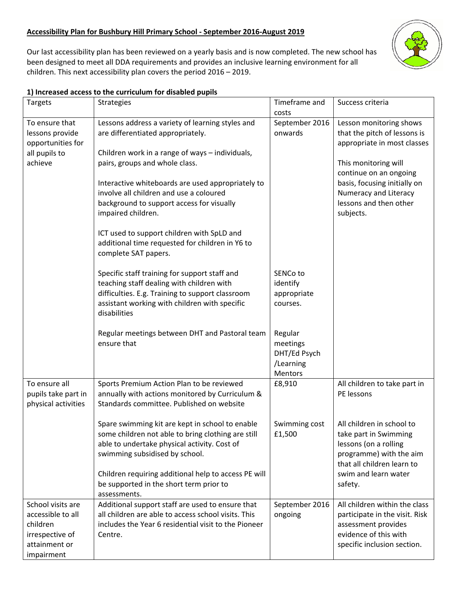## **Accessibility Plan for Bushbury Hill Primary School - September 2016-August 2019**

Our last accessibility plan has been reviewed on a yearly basis and is now completed. The new school has been designed to meet all DDA requirements and provides an inclusive learning environment for all children. This next accessibility plan covers the period 2016 – 2019.



## **1) Increased access to the curriculum for disabled pupils**